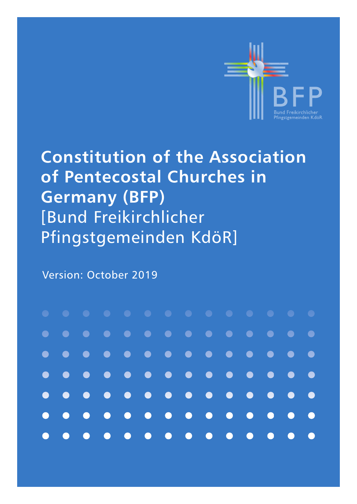

# **Constitution of the Association of Pentecostal Churches in Germany (BFP)** [Bund Freikirchlicher Pfingstgemeinden KdöR]

Version: October 2019

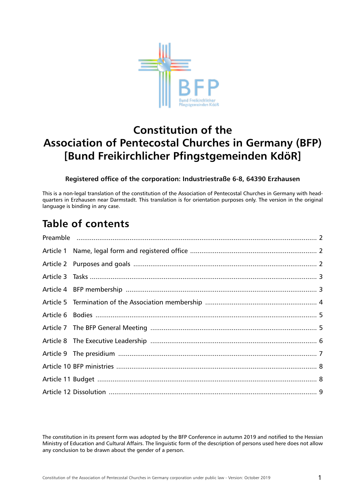

# **Constitution of the Association of Pentecostal Churches in Germany (BFP) [Bund Freikirchlicher Pfingstgemeinden KdöR]**

#### **Registered office of the corporation: Industriestraße 6-8, 64390 Erzhausen**

This is a non-legal translation of the constitution of the Association of Pentecostal Churches in Germany with headquarters in Erzhausen near Darmstadt. This translation is for orientation purposes only. The version in the original language is binding in any case.

### **Table of contents**

The constitution in its present form was adopted by the BFP Conference in autumn 2019 and notified to the Hessian Ministry of Education and Cultural Affairs. The linguistic form of the description of persons used here does not allow any conclusion to be drawn about the gender of a person.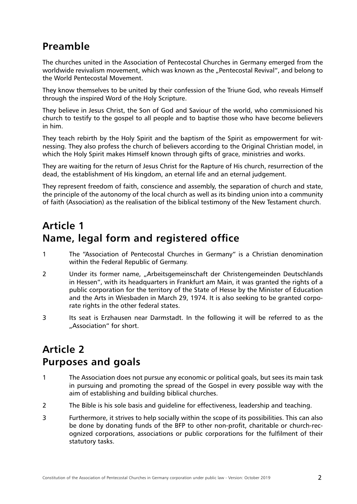#### <span id="page-2-0"></span>**Preamble**

The churches united in the Association of Pentecostal Churches in Germany emerged from the worldwide revivalism movement, which was known as the "Pentecostal Revival", and belong to the World Pentecostal Movement.

They know themselves to be united by their confession of the Triune God, who reveals Himself through the inspired Word of the Holy Scripture.

They believe in Jesus Christ, the Son of God and Saviour of the world, who commissioned his church to testify to the gospel to all people and to baptise those who have become believers in him.

They teach rebirth by the Holy Spirit and the baptism of the Spirit as empowerment for witnessing. They also profess the church of believers according to the Original Christian model, in which the Holy Spirit makes Himself known through gifts of grace, ministries and works.

They are waiting for the return of Jesus Christ for the Rapture of His church, resurrection of the dead, the establishment of His kingdom, an eternal life and an eternal judgement.

They represent freedom of faith, conscience and assembly, the separation of church and state, the principle of the autonomy of the local church as well as its binding union into a community of faith (Association) as the realisation of the biblical testimony of the New Testament church.

# **Article 1 Name, legal form and registered office**

- 1 The "Association of Pentecostal Churches in Germany" is a Christian denomination within the Federal Republic of Germany.
- 2 Under its former name, "Arbeitsgemeinschaft der Christengemeinden Deutschlands in Hessen", with its headquarters in Frankfurt am Main, it was granted the rights of a public corporation for the territory of the State of Hesse by the Minister of Education and the Arts in Wiesbaden in March 29, 1974. It is also seeking to be granted corporate rights in the other federal states.
- 3 Its seat is Erzhausen near Darmstadt. In the following it will be referred to as the ..Association" for short.

### **Article 2 Purposes and goals**

- 1 The Association does not pursue any economic or political goals, but sees its main task in pursuing and promoting the spread of the Gospel in every possible way with the aim of establishing and building biblical churches.
- 2 The Bible is his sole basis and guideline for effectiveness, leadership and teaching.
- 3 Furthermore, it strives to help socially within the scope of its possibilities. This can also be done by donating funds of the BFP to other non-profit, charitable or church-recognized corporations, associations or public corporations for the fulfilment of their statutory tasks.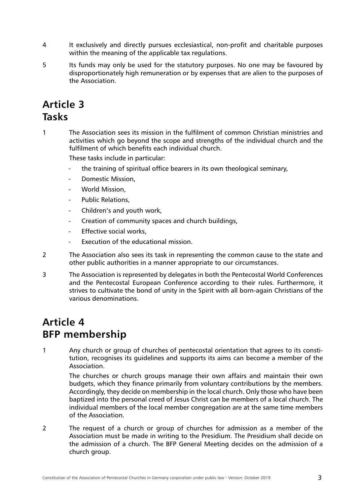- <span id="page-3-0"></span>4 It exclusively and directly pursues ecclesiastical, non-profit and charitable purposes within the meaning of the applicable tax regulations.
- 5 Its funds may only be used for the statutory purposes. No one may be favoured by disproportionately high remuneration or by expenses that are alien to the purposes of the Association.

#### **Article 3 Tasks**

1 The Association sees its mission in the fulfilment of common Christian ministries and activities which go beyond the scope and strengths of the individual church and the fulfilment of which benefits each individual church.

These tasks include in particular:

- the training of spiritual office bearers in its own theological seminary,
- Domestic Mission,
- World Mission.
- Public Relations,
- Children's and youth work,
- Creation of community spaces and church buildings,
- Effective social works,
- Execution of the educational mission.
- 2 The Association also sees its task in representing the common cause to the state and other public authorities in a manner appropriate to our circumstances.
- 3 The Association is represented by delegates in both the Pentecostal World Conferences and the Pentecostal European Conference according to their rules. Furthermore, it strives to cultivate the bond of unity in the Spirit with all born-again Christians of the various denominations.

#### **Article 4 BFP membership**

1 Any church or group of churches of pentecostal orientation that agrees to its constitution, recognises its guidelines and supports its aims can become a member of the Association.

The churches or church groups manage their own affairs and maintain their own budgets, which they finance primarily from voluntary contributions by the members. Accordingly, they decide on membership in the local church. Only those who have been baptized into the personal creed of Jesus Christ can be members of a local church. The individual members of the local member congregation are at the same time members of the Association.

2 The request of a church or group of churches for admission as a member of the Association must be made in writing to the Presidium. The Presidium shall decide on the admission of a church. The BFP General Meeting decides on the admission of a church group.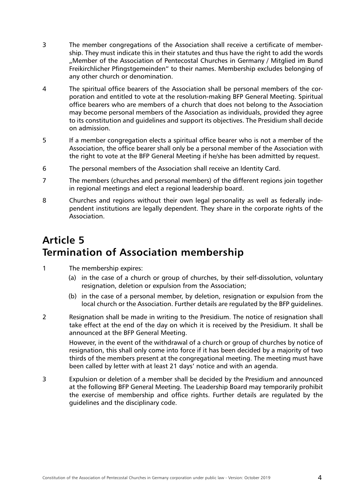- <span id="page-4-0"></span>3 The member congregations of the Association shall receive a certificate of membership. They must indicate this in their statutes and thus have the right to add the words "Member of the Association of Pentecostal Churches in Germany / Mitglied im Bund Freikirchlicher Pfingstgemeinden" to their names. Membership excludes belonging of any other church or denomination.
- 4 The spiritual office bearers of the Association shall be personal members of the corporation and entitled to vote at the resolution-making BFP General Meeting. Spiritual office bearers who are members of a church that does not belong to the Association may become personal members of the Association as individuals, provided they agree to its constitution and guidelines and support its objectives. The Presidium shall decide on admission.
- 5 If a member congregation elects a spiritual office bearer who is not a member of the Association, the office bearer shall only be a personal member of the Association with the right to vote at the BFP General Meeting if he/she has been admitted by request.
- 6 The personal members of the Association shall receive an Identity Card.
- 7 The members (churches and personal members) of the different regions join together in regional meetings and elect a regional leadership board.
- 8 Churches and regions without their own legal personality as well as federally independent institutions are legally dependent. They share in the corporate rights of the Association.

# **Article 5 Termination of Association membership**

- 1 The membership expires:
	- (a) in the case of a church or group of churches, by their self-dissolution, voluntary resignation, deletion or expulsion from the Association;
	- (b) in the case of a personal member, by deletion, resignation or expulsion from the local church or the Association. Further details are regulated by the BFP guidelines.
- 2 Resignation shall be made in writing to the Presidium. The notice of resignation shall take effect at the end of the day on which it is received by the Presidium. It shall be announced at the BFP General Meeting.

However, in the event of the withdrawal of a church or group of churches by notice of resignation, this shall only come into force if it has been decided by a majority of two thirds of the members present at the congregational meeting. The meeting must have been called by letter with at least 21 days' notice and with an agenda.

3 Expulsion or deletion of a member shall be decided by the Presidium and announced at the following BFP General Meeting. The Leadership Board may temporarily prohibit the exercise of membership and office rights. Further details are regulated by the guidelines and the disciplinary code.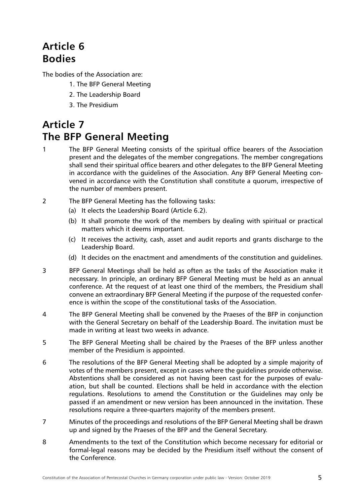# <span id="page-5-0"></span>**Article 6 Bodies**

The bodies of the Association are:

- 1. The BFP General Meeting
- 2. The Leadership Board
- 3. The Presidium

### **Article 7 The BFP General Meeting**

- 1 The BFP General Meeting consists of the spiritual office bearers of the Association present and the delegates of the member congregations. The member congregations shall send their spiritual office bearers and other delegates to the BFP General Meeting in accordance with the guidelines of the Association. Any BFP General Meeting convened in accordance with the Constitution shall constitute a quorum, irrespective of the number of members present.
- 2 The BFP General Meeting has the following tasks:
	- (a) It elects the Leadership Board (Article 6.2).
	- (b) It shall promote the work of the members by dealing with spiritual or practical matters which it deems important.
	- (c) It receives the activity, cash, asset and audit reports and grants discharge to the Leadership Board.
	- (d) It decides on the enactment and amendments of the constitution and guidelines.
- 3 BFP General Meetings shall be held as often as the tasks of the Association make it necessary. In principle, an ordinary BFP General Meeting must be held as an annual conference. At the request of at least one third of the members, the Presidium shall convene an extraordinary BFP General Meeting if the purpose of the requested conference is within the scope of the constitutional tasks of the Association.
- 4 The BFP General Meeting shall be convened by the Praeses of the BFP in conjunction with the General Secretary on behalf of the Leadership Board. The invitation must be made in writing at least two weeks in advance.
- 5 The BFP General Meeting shall be chaired by the Praeses of the BFP unless another member of the Presidium is appointed.
- 6 The resolutions of the BFP General Meeting shall be adopted by a simple majority of votes of the members present, except in cases where the guidelines provide otherwise. Abstentions shall be considered as not having been cast for the purposes of evaluation, but shall be counted. Elections shall be held in accordance with the election regulations. Resolutions to amend the Constitution or the Guidelines may only be passed if an amendment or new version has been announced in the invitation. These resolutions require a three-quarters majority of the members present.
- 7 Minutes of the proceedings and resolutions of the BFP General Meeting shall be drawn up and signed by the Praeses of the BFP and the General Secretary.
- 8 Amendments to the text of the Constitution which become necessary for editorial or formal-legal reasons may be decided by the Presidium itself without the consent of the Conference.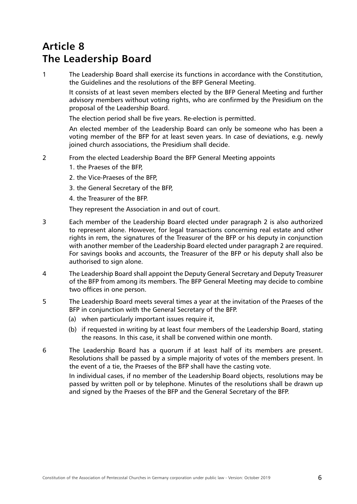#### <span id="page-6-0"></span>**Article 8 The Leadership Board**

1 The Leadership Board shall exercise its functions in accordance with the Constitution, the Guidelines and the resolutions of the BFP General Meeting.

It consists of at least seven members elected by the BFP General Meeting and further advisory members without voting rights, who are confirmed by the Presidium on the proposal of the Leadership Board.

The election period shall be five years. Re-election is permitted.

An elected member of the Leadership Board can only be someone who has been a voting member of the BFP for at least seven years. In case of deviations, e.g. newly joined church associations, the Presidium shall decide.

- 2 From the elected Leadership Board the BFP General Meeting appoints
	- 1. the Praeses of the BFP,
	- 2. the Vice-Praeses of the BFP,
	- 3. the General Secretary of the BFP,
	- 4. the Treasurer of the BFP.

They represent the Association in and out of court.

- 3 Each member of the Leadership Board elected under paragraph 2 is also authorized to represent alone. However, for legal transactions concerning real estate and other rights in rem, the signatures of the Treasurer of the BFP or his deputy in conjunction with another member of the Leadership Board elected under paragraph 2 are required. For savings books and accounts, the Treasurer of the BFP or his deputy shall also be authorised to sign alone.
- 4 The Leadership Board shall appoint the Deputy General Secretary and Deputy Treasurer of the BFP from among its members. The BFP General Meeting may decide to combine two offices in one person.
- 5 The Leadership Board meets several times a year at the invitation of the Praeses of the BFP in conjunction with the General Secretary of the BFP.
	- (a) when particularly important issues require it,
	- (b) if requested in writing by at least four members of the Leadership Board, stating the reasons. In this case, it shall be convened within one month.
- 6 The Leadership Board has a quorum if at least half of its members are present. Resolutions shall be passed by a simple majority of votes of the members present. In the event of a tie, the Praeses of the BFP shall have the casting vote.

In individual cases, if no member of the Leadership Board objects, resolutions may be passed by written poll or by telephone. Minutes of the resolutions shall be drawn up and signed by the Praeses of the BFP and the General Secretary of the BFP.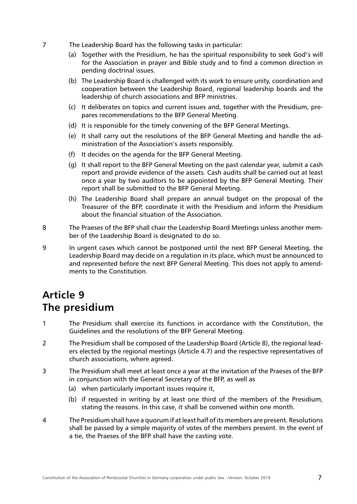- <span id="page-7-0"></span>7 The Leadership Board has the following tasks in particular:
	- (a) Together with the Presidium, he has the spiritual responsibility to seek God's will for the Association in prayer and Bible study and to find a common direction in pending doctrinal issues.
	- (b) The Leadership Board is challenged with its work to ensure unity, coordination and cooperation between the Leadership Board, regional leadership boards and the leadership of church associations and BFP ministries.
	- (c) It deliberates on topics and current issues and, together with the Presidium, prepares recommendations to the BFP General Meeting.
	- (d) It is responsible for the timely convening of the BFP General Meetings.
	- (e) It shall carry out the resolutions of the BFP General Meeting and handle the administration of the Association's assets responsibly.
	- (f) It decides on the agenda for the BFP General Meeting.
	- (g) It shall report to the BFP General Meeting on the past calendar year, submit a cash report and provide evidence of the assets. Cash audits shall be carried out at least once a year by two auditors to be appointed by the BFP General Meeting. Their report shall be submitted to the BFP General Meeting.
	- (h) The Leadership Board shall prepare an annual budget on the proposal of the Treasurer of the BFP, coordinate it with the Presidium and inform the Presidium about the financial situation of the Association.
- 8 The Praeses of the BFP shall chair the Leadership Board Meetings unless another member of the Leadership Board is designated to do so.
- 9 In urgent cases which cannot be postponed until the next BFP General Meeting, the Leadership Board may decide on a regulation in its place, which must be announced to and represented before the next BFP General Meeting. This does not apply to amendments to the Constitution.

#### **Article 9 The presidium**

- 1 The Presidium shall exercise its functions in accordance with the Constitution, the Guidelines and the resolutions of the BFP General Meeting.
- 2 The Presidium shall be composed of the Leadership Board (Article 8), the regional leaders elected by the regional meetings (Article 4.7) and the respective representatives of church associations, where agreed.
- 3 The Presidium shall meet at least once a year at the invitation of the Praeses of the BFP in conjunction with the General Secretary of the BFP, as well as
	- (a) when particularly important issues require it,
	- (b) if requested in writing by at least one third of the members of the Presidium, stating the reasons. In this case, it shall be convened within one month.
- 4 The Presidium shall have a quorum if at least half of its members are present. Resolutions shall be passed by a simple majority of votes of the members present. In the event of a tie, the Praeses of the BFP shall have the casting vote.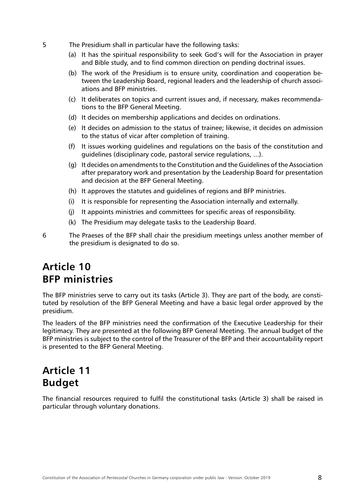- <span id="page-8-0"></span>5 The Presidium shall in particular have the following tasks:
	- (a) It has the spiritual responsibility to seek God's will for the Association in prayer and Bible study, and to find common direction on pending doctrinal issues.
	- (b) The work of the Presidium is to ensure unity, coordination and cooperation between the Leadership Board, regional leaders and the leadership of church associations and BFP ministries.
	- (c) It deliberates on topics and current issues and, if necessary, makes recommendations to the BFP General Meeting.
	- (d) It decides on membership applications and decides on ordinations.
	- (e) It decides on admission to the status of trainee; likewise, it decides on admission to the status of vicar after completion of training.
	- (f) It issues working guidelines and regulations on the basis of the constitution and guidelines (disciplinary code, pastoral service regulations, ...).
	- (g) It decides on amendments to the Constitution and the Guidelines of the Association after preparatory work and presentation by the Leadership Board for presentation and decision at the BFP General Meeting.
	- (h) It approves the statutes and guidelines of regions and BFP ministries.
	- (i) It is responsible for representing the Association internally and externally.
	- (j) It appoints ministries and committees for specific areas of responsibility.
	- (k) The Presidium may delegate tasks to the Leadership Board.
- 6 The Praeses of the BFP shall chair the presidium meetings unless another member of the presidium is designated to do so.

#### **Article 10 BFP ministries**

The BFP ministries serve to carry out its tasks (Article 3). They are part of the body, are constituted by resolution of the BFP General Meeting and have a basic legal order approved by the presidium.

The leaders of the BFP ministries need the confirmation of the Executive Leadership for their legitimacy. They are presented at the following BFP General Meeting. The annual budget of the BFP ministries is subject to the control of the Treasurer of the BFP and their accountability report is presented to the BFP General Meeting.

#### **Article 11 Budget**

The financial resources required to fulfil the constitutional tasks (Article 3) shall be raised in particular through voluntary donations.